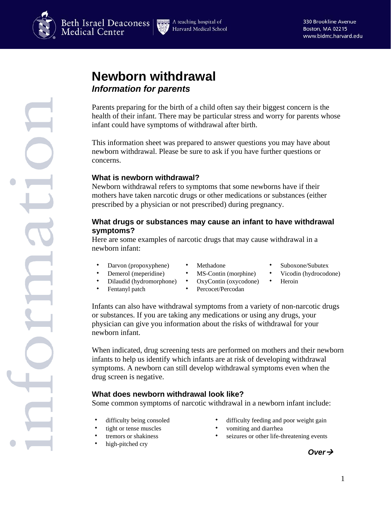



# **Newborn withdrawal**  *Information for parents*

Parents preparing for the birth of a child often say their biggest concern is the health of their infant. There may be particular stress and worry for parents whose infant could have symptoms of withdrawal after birth.

This information sheet was prepared to answer questions you may have about newborn withdrawal. Please be sure to ask if you have further questions or concerns.

## **What is newborn withdrawal?**

Newborn withdrawal refers to symptoms that some newborns have if their mothers have taken narcotic drugs or other medications or substances (either prescribed by a physician or not prescribed) during pregnancy.

## **What drugs or substances may cause an infant to have withdrawal symptoms?**

Here are some examples of narcotic drugs that may cause withdrawal in a newborn infant:

- Darvon (propoxyphene) Methadone Suboxone/Subutex
- 
- 
- Demerol (meperidine) MS-Contin (morphine) Vicodin (hydrocodone)
- Dilaudid (hydromorphone) OxyContin (oxycodone) Heroin
- Fentanyl patch Percocet/Percodan
- -
- 
- 

Infants can also have withdrawal symptoms from a variety of non-narcotic drugs or substances. If you are taking any medications or using any drugs, your physician can give you information about the risks of withdrawal for your newborn infant.

When indicated, drug screening tests are performed on mothers and their newborn infants to help us identify which infants are at risk of developing withdrawal symptoms. A newborn can still develop withdrawal symptoms even when the drug screen is negative.

# **What does newborn withdrawal look like?**

Some common symptoms of narcotic withdrawal in a newborn infant include:

- 
- 
- 
- high-pitched cry
- difficulty being consoled  $\bullet$  difficulty feeding and poor weight gain
- tight or tense muscles  $\bullet$  vomiting and diarrhea
- tremors or shakiness  $\bullet$  seizures or other life-threatening events

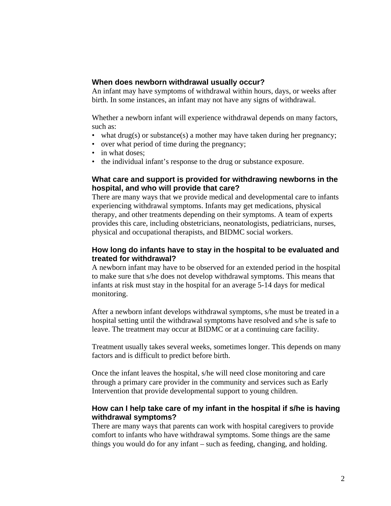#### **When does newborn withdrawal usually occur?**

An infant may have symptoms of withdrawal within hours, days, or weeks after birth. In some instances, an infant may not have any signs of withdrawal.

Whether a newborn infant will experience withdrawal depends on many factors, such as:

- what drug(s) or substance(s) a mother may have taken during her pregnancy;
- over what period of time during the pregnancy;
- in what doses;
- the individual infant's response to the drug or substance exposure.

#### **What care and support is provided for withdrawing newborns in the hospital, and who will provide that care?**

There are many ways that we provide medical and developmental care to infants experiencing withdrawal symptoms. Infants may get medications, physical therapy, and other treatments depending on their symptoms. A team of experts provides this care, including obstetricians, neonatologists, pediatricians, nurses, physical and occupational therapists, and BIDMC social workers.

## **How long do infants have to stay in the hospital to be evaluated and treated for withdrawal?**

A newborn infant may have to be observed for an extended period in the hospital to make sure that s/he does not develop withdrawal symptoms. This means that infants at risk must stay in the hospital for an average 5-14 days for medical monitoring.

After a newborn infant develops withdrawal symptoms, s/he must be treated in a hospital setting until the withdrawal symptoms have resolved and s/he is safe to leave. The treatment may occur at BIDMC or at a continuing care facility.

Treatment usually takes several weeks, sometimes longer. This depends on many factors and is difficult to predict before birth.

Once the infant leaves the hospital, s/he will need close monitoring and care through a primary care provider in the community and services such as Early Intervention that provide developmental support to young children.

#### **How can I help take care of my infant in the hospital if s/he is having withdrawal symptoms?**

There are many ways that parents can work with hospital caregivers to provide comfort to infants who have withdrawal symptoms. Some things are the same things you would do for any infant – such as feeding, changing, and holding.